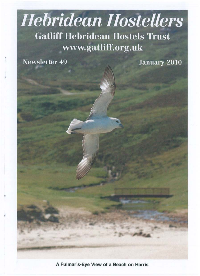# **Hebridean Hostellers Gatliff Hebridean Hostels Trust** www.gatliff.org.uk

**Newsletter 49** 

I

**January 2010** 

A Fulmar's-Eye View of a Beach on Harris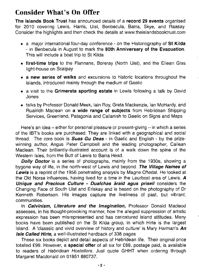## Consider What's On Offer

The Islands Book Trust has announced details of a record 29 events organised for 2010 covering Lewis, Harris, Uist, Benbecula, Barra, Skye, and Raasay. Consider the highlights and then check the details at www.theislandsbooktrust.com

- a major international four-day conference on the Historiography of St Kilda - in Benbecula in August to mark the 80th Anniversary of the Evacuation. This will include a boat trip to St Kilda
- first-time trips to the Flannans, Boreray (North Uist), and the Eilean Glas light-house on Scalpay
- a new series of walks and excursions to historic locations throughout the islands, introduced mainly through the medium of Gaelic
- a visit to the Grimersta sporting estate in Lewis following a talk by David Jones
- talks by Professor Donald Meek, lain Roy, Greta Mackenzie, Ian McHardy, and Ruairidh Maclean on a wide range of subjects from Hebridean Shipping Services, Greenland, Patagonia and Callanish to Gaelic on Signs and Maps

Here's an idea  $-$  either for personal pleasure or present-giving  $-$  in which a series of the IBT's books are purchased. They are linked with a geographical and social thread. The core book is **Suas Gu Deas** - in Gaelic and English - by the prizewinning author, Angus Peter Campbell and the leading photographer, Cailean Maclean. Their brilliantly-illustrated account is of a walk down the spine of the Western Isles, from the Butt of Lewis to Barra Head.

**Dolly Doctor** is a series of photographs, mainly from the 1930s, showing a bygone way of life, in the north-west of Lewis and beyond. The Village Names of Lewis is a reprint of the 1956 penetrating analysis by Magne Oftedal. He looked at the Old Norse influences, having lived for a time in the Leurbost area of Lewis. *A*  Unique and Precious Culture - Dualchas àraid agus priseil considers the Changing Face of South Uist and Eriskay and is based on the photography of Dr Kenneth Robertson. His images capture the liveliness of past, but vibrant, communities.

In **Calvinism, Literature and the Imagination**, Professor Donald Macleod assesses, in his thought-provoking manner, how the alleged suppression of artistic expression has been misrepresented and has caricatured island attitudes. Many books have been published on the St Kilda group, in which Hirte is the largest island. A 'classsic and vivid overview of history and culture' is Mary Harman's An Isle Called Hirte, a well-illustrated hardback of 338 pages

These six books depict and detail aspects of Hebridean life. Their original price totalled £99. However, a special offer of all six for £69, postage paid, is available to readers of Hebridean Hostellers. Just quote GHHT when ordering through Margaret Macdonald on 01851 880737.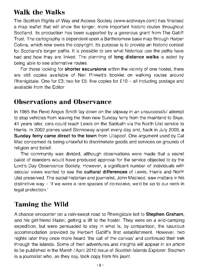# **Walk the Walks**

The Scottish Rights of Way and Access Society (www.scotways.com) has finalised a map leaflet that will show the longer, more important historic routes throughout Scotland. Its production has been supported by a generous grant from The Gatliff Trust. The cartography is dependent upon a Bartholomew base map through Harper Collins, which now owns the copyright. Its purpose is to provide an historic context for Scotland's longer paths. It is possible to see what historical use the paths have had and how they are linked. The planning of **long distance walks** is aided by being able to see alternative routes.

For those looking for **shorter excursions** within the vicinity of one hostel, there are still copies available of Neil Pinkett's booklet on walking routes around Rhenigidale. One for £3; two for £5; five copies for £10 - all including postage and available from the Editor

## **Observations and Observance**

In 1965 the Revd Angus Smith lay down on the slipway in an unsuccessful attempt to stop vehicles from leaving the then new Sunday ferry from the mainland to Skye. 41 years later, cars could reach Lewis on the Sabbath via the North Uist service to Harris. In 2002 planes used Stornoway airport every day and, back in July 2009, a **Sunday ferry came direct to the town** from Ullapool. One argument used by Cal Mac concerned its being unlawful to discriminate goods and services on grounds of religion and belief.

The community was divided, although observations were made that a secret ballot of islanders would have produced approval for the service objected to by the Lord's Day Observance Society. However, a significant number of individuals with secular views wanted to see the **cultural differences** of Lewis, Harris and North Uist preserved. The social historian and journalist, John Macleod, saw matters in his distinctive way – 'If we were a rare species of corncrake, we'd be up to our neck in legal protection.'

# **Taming the Wild**

A chance encounter on a rain-swept road to Rhenigidale led to **Stephen Graham,**  and his girl-friend Hazel, getting a lift to the hostel. They were on a wild-camping expedition, but were persuaded to stay in what is, by comparison, the luxurious accommodation provided by Herbert Gatliff's first establishment. However, two nights later they once more heard 'the call of the canvas' and continued their trek through the islands. Some of their adventures and insights will appear in an article to be published in the March / April 2010 issue of Scottish Islands Explorer. Stephen is a journalist who, as they say, took copy from his jaunt.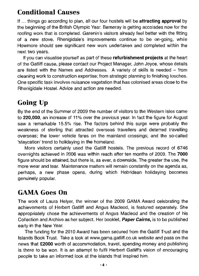# Conditional Causes

If ... things go according to plan, all our four hostels will be attracting approval by the beginning of the British Olympic Year. Berneray is getting accolades now for the roofing work that is completed. Garenin's visitors already feel better with the fitting of a new stove. Rhenigidale's improvements continue to be on-going, while Howmore should see significant new work undertaken and completed within the next two years.

If you can visualise yourself as part of these refurbishment projects at the heart of the Gatliff cause, please contact our Project Manager, John Joyce, whose details are listed with the Names and Addresses. A variety of skills is needed - from cleaning work to construction expertise; from strategic planning to finishing touches. One specific task involves nuisance vegetation that has colonised areas close to the Rhenigidale Hostel. Advice and action are needed.

# Going Up

By the end of the Summer of 2009 the number of visitors to the Western Isles came to 220,000, an increase of 11% over the previous year. In fact the figure for August saw a remarkable 15.5% rise. The factors behind this surge were probably the weakness of sterling that attracted overseas travellers and deterred travelling overseas; the lower vehicle fares on the mainland crossings; and the so-called 'staycation' trend to holidaying in the homeland.

More visitors certainly used the Gatliff hostels. The previous record of 6746 overnights achieved in 2006 was within reach after ten months of 2009. The 7000 figure should be attained, but there is, as ever, a downside. The greater the use, the more wear and tear. Maintenance matters will remain constantly on the agenda as, perhaps, a new phase opens, during which Hebridean holidaying becomes genuinely popular.

## GAMAGoes On

The work of Laura Helyer, the winner of the 2009 GAMA Award celebrating the achievements of Herbert Gatliff and Angus Macleod, is featured separately. She appropriately chose the achievements of Angus Macleod and the creation of his Collection and Archive as her subject. Her booklet, **Paper Cairns**, is to be published early in the New Year.

The funding for the 2010 Award has been secured from the Gatliff Trust and the Islands Book Trust. Take a look at www.gama.gatliff.co.uk website and pass on the news that £2000 worth of accommodation, travel, spending money and publishing is there to be won. It is an attempt to fulfil Herbert Gatliff's vision of encouraging people to take an informed look at the islands that inspired him.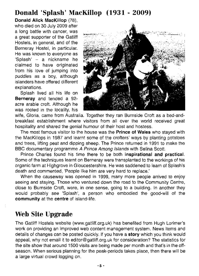## **Donald 'Splash' MacKillop (1931 - 2009)**

**Donald Alick MacKiliop** (78), who died on 30 July 2009 after a long battle with cancer, was a great supporter of the Gatliff Hostels, in general, and of the Berneray Hostel, in particular. He was known to everyone as 'Splash'  $-$  a nickname he claimed to have originated from his love of jumping into puddles as a boy, although islanders have offered different explanations.

Splash lived all his life on **Berneray** and tended a 92 acre arable croft. Although he was rooted in the locality, his



wife, Gloria, came from Australia. Together they ran Burnside Croft as a bed-andbreakfast establishment where visitors from allover the world received great hospitality and shared the genial humour of their host and hostess.

The most famous visitor to the house was the **Prince of Wales** who stayed with the MacKillops in 1987 and learnt some of the crofters' ways by planting potatoes and trees, lifting peat and dipping sheep. The Prince returned in 1991 to make the BBC documentary programme A Prince Among Islands with Selina Scott.

Prince Charles found his time there to be both **inspirational and practical.**  Some of the techniques learnt on Berneray were transplanted to the workings of his organic farm at Highgrove in Gloucestershire. He was saddened to learn of Splash's death and commented, 'People like him are very hard to replace.'

When the causeway was opened in 1999, many more people arrived to enjoy seeing and staying. Those who ventured down the road to the Community Centre, close to Burnside Croft, were, in one sense, going to a building. **In** another they would probably see 'Splash', a person who embodied the good-will of the **community** at the **centre** of island-life.

## **Web Site Upgrade**

The Gatliff Hostels website (www.gatliff.org.uk) has benefited from Hugh Lorimer's work on providing an improved web content management system. News items and details of changes can be posted quickly. If you have a **story** which you think would appeal, why not email it to editor@gatliff.org.uk for consideration? The statistics for the site show that around 1500 visits are being made per month and that's in the offseason. When serious planning for the peak-periods takes place, then there will be a large virtual crowd logging on.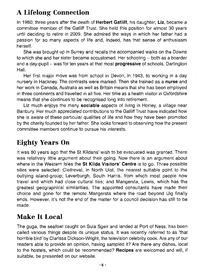# **A Lifelong Connection**

In 1980, three years after the death of **Herbert Gatliff,** his daughter, Liz, became a committee member of the Gatliff Trust. She held this position for almost 30 years until deciding to retire in 2009. She admired the ways in which her father had a passion for so many aspects of life and, indeed, has that sense of enthusiasm herself.

She was brought up in Surrey and recalls the accompanied walks on the Downs to which she and her sister became accustomed. Her schooling - both as a boarder and a day-pupil - was for ten years at that most **progressive** of schools, Dartington Hall.

Her first major move was from school in Devon, in 1943, to working in a day nursery in Hackney. The contrasts were marked. Then she trained as a **nurse** and her work in Canada, Australia as well as Britain means that she has been employed in three continents and travelled in all five. Her time as a health visitor in Oxfordshire means that she continues to be recognised long into retirement.

Liz much enjoys the many **sociable** aspects of living in Horley, a village near Banbury. Her much appreciated contributions to the Gatliff Trust have indicated how she is aware of these particular qualities of life and how they have been promoted by the charity founded by her father. She looks forward to observing how the present committee members continue to pursue his interests.

# **Eighty Years On**

It was 80 years ago that the St Kildans' wish to be evacuated was granted. There was relatively little argument about their going. Now there is an argument about where in the Western Isles the **St Kilda Visitors' Centre** is to go. Three possible sites were selected: Cleitreval, in North Uist, the nearest suitable point to the outlying island-group; Leverburgh, South Harris, from which most people now travel and which had close cultural ties; and Mangersta, Lewis, which has the greatest geographical similarities. The appointed consultants have made their choice and gone for the remote Mangersta where the road beyond Uig finally ends. However, it's not the end of the matter for a council decision has still to be made.

# **Make It Local**

The guga, the seafowl caught on Sula Sgeir and landed at Port of Ness, has been called various things despite its unique status. It was recently referred to as 'that horrible bird' by Clarissa Dickson-Wright, the television celebrity cook. Are any of our readers able to provide an opinion, having sampled it? Are there any dishes, local to the hostels, which could be recommended? **Recipes** are welcomed and will, if suitable, be presented on our website.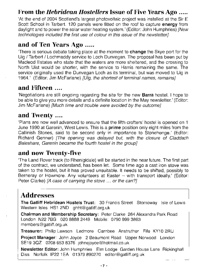#### **From the** *Hebridean Hostellers* **Issue of Five Years Ago .....**

'At the end of 2004 Scotland's largest photovoltaic project was installed at the Sir E Scott School in Tarbert. 120 panels were fitted on the roof to capture **energy** from daylight and to power the solar water heating system.' (Editor: John Humphries) (New technologies included the first use of colour in this issue of the newsletter]

#### **and of Ten Years Ago .....**

There is serious debate taking place at the moment to **change** the Skye port for the Uig / Tarbert / Lochmaddy service to Loch Dunvegan. The proposal has been put by Macleod Estates who state that the waters are more sheltered, and the crossing to North Uist would be shorter, with the service to Harris remaining the same. The service originally used the Dunvegan Loch as its terminal, but was moved to Uig in 1964.' (Editor: Jim McFarlane) *[Uig, the shortest of terminal names, remains]* 

#### **and Fifteen ....**

'Negotiations are still ongoing regarding the site for the new **Barra** hostel. I hope to be able to give you more details and a definite location in the May newsletter.' (Editor: Jim McFarlane) [Much time and trouble were avoided by the outcome]

#### **and Twenty ....**

'Plans are now well advanced to ensure that the fifth crofters' hostel is opened on 1 June 1990 at Garenin, West Lewis. This is a **prime** position only eight miles from the Callinish Stones, said to be second only in importance to Stonehenge.' (Editor: Richard Genner) [The opening was delayed but, with the closure of Claddach Baleshare, Garenin became the fourth hostel in the group]

#### **and now Twenty-five**

The Land Rover track (to Rhenigidale) will be started in the near future. The first part of the contract, we understand, has been let. Some time ago a cast iron stove was taken to the hostel, but it has proved unsuitable. It needs to be shifted, possibly to Berneray or Howmore. Any volunteers at Easter - with transport ideally.' (Editor: Peter Clarke) [A case of carrying the stove ... or the can?]

## **Addresses**

**The Gatliff Hebridean Hostels Trust:** 30 Francis Street Stornoway Isle of Lewis Western Isles HS1 2ND ghht@gatliff.org.uk

**Chairman and Membership Secretary:** Peter Clarke 264 Alexandra Park Road London N22 7BG 020 8888 2449 Mobile: 0790 999 3863 members@gatliff.org.uk

**Treasurer:** Philip Lawson Ledmore Carnbee Anstruther Fife KY10 2RU

**Project Manager:** John Joyce 2 Beaumont Road Upper Norwood London SE193QZ 02086538376 johnejoyce@hotmail.co.uk

**Newsletter Editor:** John Humphries Elm Lodge Garden House Lane Rickinghall Diss Norfolk IP22 1EA 01379 890270 editor@gatliff.org.uk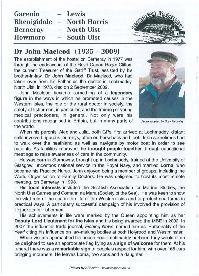| Garenin         | - Lewis                    |  |
|-----------------|----------------------------|--|
|                 | Rhenigidale - North Harris |  |
| <b>Berneray</b> | - North Uist               |  |
| <b>Howmore</b>  | - South Uist               |  |

#### Dr John Macleod (1935 - 2009)

The establishment of the hostel on Berneray in 1977 was through the endeavours of the Revd Canon Roger Clifton, the current Treasurer of the Gatliff Trust, assisted by his brother-in-law, Dr John Macleod. Dr Macleod, who had taken over from his Father as the doctor in Lochmaddy, North Uist, in 1973, died on 2 September 2009.

John Macleod became something of a legendary figure in the ways in which he promoted causes in the Western Isles, the role of the rural doctor in society, the safety of fishermen, in particular, and the training of young medical practioners, in general. Not only were his contributions recognised in Britain, but in many parts of Photo supplied by Susy Macaulay the world.



I

When his parents, Alex and Julia, both GPs, first arrived at Lochmaddy, distant calls involved rigorous journeys, often on horseback and foot. John sometimes had to walk over the heathland as well as navigate by motor boat in order to see patients. As facilities improved, he brought people together through educational meetings to raise awareness of care in the community.

He was born in Stornoway, brought up in Lochmaddy, trained at the University of Glasgow, undertook national service in the Royal Navy, and married Lorna, who became his Practice Nurse. John enjoyed being a member of groups, including the World Organisation of Family Doctors. He was delighted to host its most remote meeting, on Berneray in 1998.

His local interests included the Scottish Association for Marine Studies, the North Uist Games and Comann na Mara (Society of the Sea). He was keen to show the vital role of the sea in the life of the Western Isles and to protect sea-farers in practical ways. A particularly successful campaign of his involved the provision of lifejackets for fishermen.

His achievements in life were marked by the Queen appointing him as her Deputy Lord Lieutenant for the Isles and his being awarded the MBE in 2002. In 2007 the influential trade journal, Fishing News, named him as 'Personality of the Year' citing his influence on law-making bodies at both Holyrood and Westminster.

When visitors approached his house near Lochmaddy harbour, they would often be delighted to see an appropriate flag flying as a sign of welcome for them. At his funeral there was a remarkable sign of people's respect for him, with over 165 cars bringing mourners. He leaves Lorna, two sons and a daughter.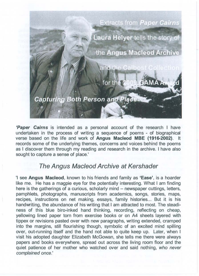

**'Paper Cairns** is intended as a personal account of the research I have undertaken in the process of writing a sequence of poems - of biographical verse based on the life and work of **Angus Macleod MBE (1916-2002).** It records some of the underlying themes, concerns and voices behind the poems as I discover them through my reading and research in the archive. I have also sought to capture a sense of place.'

#### **The Angus Macleod Archive at Kershader**

'I see **Angus Macleod,** known to his friends and family as 'Ease', is a hoarder like me. He has a magpie eye for the potentially interesting. What I am finding here is the gatherings of a curious, scholarly mind - newspaper cuttings, letters, pamphlets, photographs, manuscripts from academics, songs, stories, maps, recipes, instructions on net making, essays, family histories... But it is his handwriting, the abundance of his writing that I am attracted to most. The steadiness of this blue biro-inked hand thinking, recording, reflecting on cheap, yellowing lined paper torn from exercise books or on A4 sheets layered with tippex or revisions pasted over with new paragraphs, writing extended, cramped into the margins, still flourishing though, symbolic of an excited mind spilling over, out-running itself and the hand not able to quite keep up. Later, when I visit his adopted daughter Elizabeth McGowan, she tells me there were always papers and books everywhere, spread out across the living room floor and the quiet patience of her mother who watched over and said nothing, who never complained once.'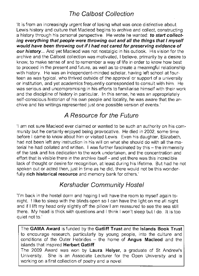## The Calbost Collection

'It is from an increasingly urgent fear of losing what was once distinctive about Lewis history and culture that Macleod begins to archive and collect, constructing a history through his personal perspective. He wrote he wanted: to start collecting everything that people were throwing out and all the things that I myself would have been throwing out if I had not cared for preserving evidence of our history... And yet Macleod was not nostalgic in his outlook. His vision for the archive and the Calbost collection was motivated, I believe, primarily by a desire to know, to make sense of and to remember a way of life in order to know how best to proceed in the present and future, as well as to create a meaningful relationship with history. He was an independent-minded scholar, having left school at fourteen as was typical, who thrived outside of the approval or support of a university or institution, and yet academics frequently corresponded to consult with him. He was serious and uncompromising in his efforts to familiarise himself with their work and the discipline of history in particular. In this sense, he was an appropriately self-conscious historian of his own people and locality, he was aware that the archive and his writings represented just one possible version of events.'

## A Resource for the Future

'I am not sure Macleod ever claimed or wanted to be such an authority on his community but he certainly enjoyed being provocative. He died in 2002, some time before I came to know about him or visited Lewis. Even his daughter, Elizabeth, had not been left any instruction in his will on what she should do with all the material he had collated and written. I was further fascinated by this - the immensity of the task and his dedication to the work undertaken, and the concentration and effort that is visible there in the archive itself - and yet there was this incredible lack of thought or desire for recognition, at least during his lifetime. But had he not spoken out or acted then, just in time as he did, there would not be this wonderfully rich historical resource and memory bank for others.'

#### Kershader Community Hostel

'I'm back in the hostel dorm and hoping I will have the room to myself again tonight. I like to sleep with the blinds open so I can have the light on me all night and if I lift my head only slightly off the pillow I am reassured to see the sea still there. My head is thick with questions and I think I won't sleep but I do. It is too quiet not to.'

The GAMA Award is funded by the Gatliff Trust and the Islands Book Trust to encourage research, particularly by young people, into the culture and conditions of the Outer Hebrides  $-$  the home of Angus Macleod and the islands that inspired Herbert Gatliff.

The 2009 Award was won by Laura Helyer, a graduate of St Andrew's University. She is an Associate Lecturer for the Open University and is working on a first collection of poetry and a novel.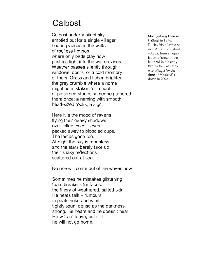# **Calbost**

Calbost under a silent sky emptied but for a single villager hearing voices in the walls of roofless houses where only birds play now pushing light into the wet crevices. Weather passes silently through windows, doors, or a cold memory of them. Grass and lichen brighten the grey crumble where a home might be mistaken for a pool of patterned stones someone gathered there once: a naming with smooth head-sized rocks, a sign.

Here it is the mood of ravens flying their heavy shadows over fallen ewes - eyes pecked away to bloodied cups. The lambs gone too. At night the sky is moonless and the stars barely take up their shaky reflections scattered out at sea.

No one will come out of the waves now.

Sometimes he mistakes glistening foam breakers for faces, the finery of weathered, salted skin. He hears talk  $-$  rumours in peatsmoke and wind, tightly spun, dense as the darkness, strong. He hears and he doesn't hear. He will not leave, but still he will not go home.

Macleod was born in Calbost in 1916. During his lifetime he saw it become a ghost village, from a population of around two hundred in the early twentieth-century to one villager by the time of Macleod's dea th in 2002